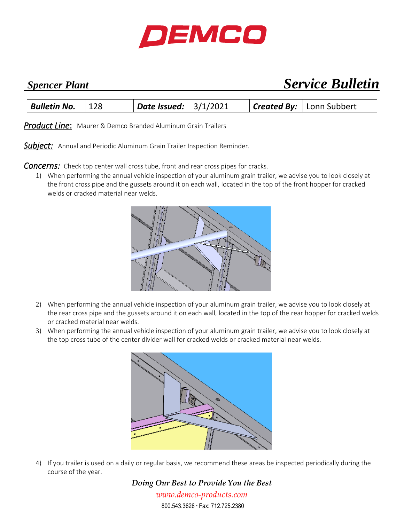

## *Spencer Plant Service Bulletin*

| $\vert$ Date Issued: $\vert$ 3/1/2021<br><b>Created By:</b> Lonn Subbert<br><b>Bulletin No.</b><br>128 |  |
|--------------------------------------------------------------------------------------------------------|--|
|--------------------------------------------------------------------------------------------------------|--|

*Product Line*: Maurer & Demco Branded Aluminum Grain Trailers

Subject: Annual and Periodic Aluminum Grain Trailer Inspection Reminder.

**Concerns:** Check top center wall cross tube, front and rear cross pipes for cracks.

1) When performing the annual vehicle inspection of your aluminum grain trailer, we advise you to look closely at the front cross pipe and the gussets around it on each wall, located in the top of the front hopper for cracked welds or cracked material near welds.



- 2) When performing the annual vehicle inspection of your aluminum grain trailer, we advise you to look closely at the rear cross pipe and the gussets around it on each wall, located in the top of the rear hopper for cracked welds or cracked material near welds.
- 3) When performing the annual vehicle inspection of your aluminum grain trailer, we advise you to look closely at the top cross tube of the center divider wall for cracked welds or cracked material near welds.



4) If you trailer is used on a daily or regular basis, we recommend these areas be inspected periodically during the course of the year.

> *Doing Our Best to Provide You the Best www.demco-products.com* 800.543.3626 • Fax: 712.725.2380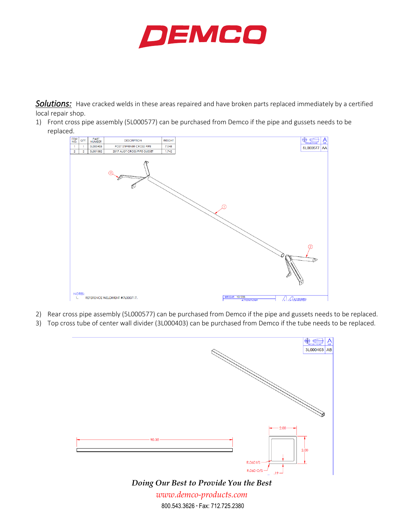

*Solutions:* Have cracked welds in these areas repaired and have broken parts replaced immediately by a certified local repair shop.

1) Front cross pipe assembly (5L000577) can be purchased from Demco if the pipe and gussets needs to be replaced.



- 2) Rear cross pipe assembly (5L000577) can be purchased from Demco if the pipe and gussets needs to be replaced.
- 3) Top cross tube of center wall divider (3L000403) can be purchased from Demco if the tube needs to be replaced.



800.543.3626 • Fax: 712.725.2380